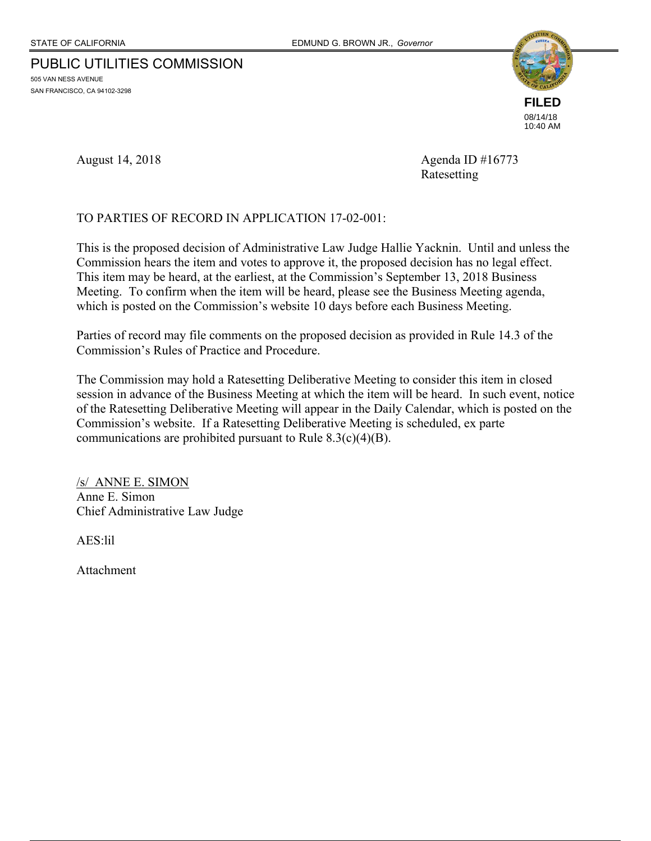# PUBLIC UTILITIES COMMISSION

505 VAN NESS AVENUE SAN FRANCISCO, CA 94102-3298



August 14, 2018 **Agenda ID** #16773 Ratesetting

#### TO PARTIES OF RECORD IN APPLICATION 17-02-001:

This is the proposed decision of Administrative Law Judge Hallie Yacknin. Until and unless the Commission hears the item and votes to approve it, the proposed decision has no legal effect. This item may be heard, at the earliest, at the Commission's September 13, 2018 Business Meeting. To confirm when the item will be heard, please see the Business Meeting agenda, which is posted on the Commission's website 10 days before each Business Meeting.

Parties of record may file comments on the proposed decision as provided in Rule 14.3 of the Commission's Rules of Practice and Procedure.

The Commission may hold a Ratesetting Deliberative Meeting to consider this item in closed session in advance of the Business Meeting at which the item will be heard. In such event, notice of the Ratesetting Deliberative Meeting will appear in the Daily Calendar, which is posted on the Commission's website. If a Ratesetting Deliberative Meeting is scheduled, ex parte communications are prohibited pursuant to Rule  $8.3(c)(4)(B)$ .

/s/ ANNE E. SIMON Anne E. Simon Chief Administrative Law Judge

AES:lil

Attachment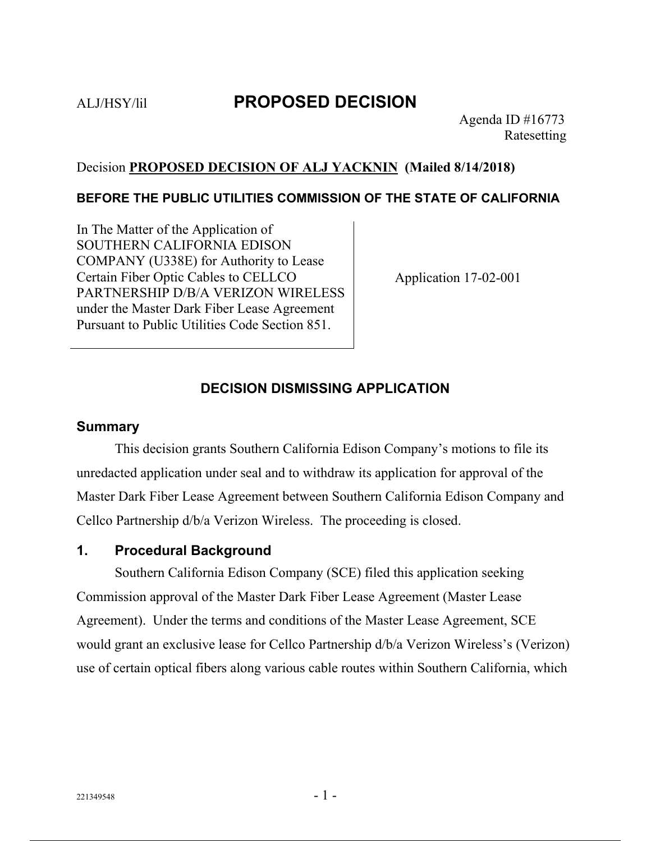# ALJ/HSY/lil **PROPOSED DECISION**

# Decision **PROPOSED DECISION OF ALJ YACKNIN (Mailed 8/14/2018)**

### **BEFORE THE PUBLIC UTILITIES COMMISSION OF THE STATE OF CALIFORNIA**

In The Matter of the Application of SOUTHERN CALIFORNIA EDISON COMPANY (U338E) for Authority to Lease Certain Fiber Optic Cables to CELLCO PARTNERSHIP D/B/A VERIZON WIRELESS under the Master Dark Fiber Lease Agreement Pursuant to Public Utilities Code Section 851.

Application 17-02-001

# **DECISION DISMISSING APPLICATION**

#### **Summary**

This decision grants Southern California Edison Company's motions to file its unredacted application under seal and to withdraw its application for approval of the Master Dark Fiber Lease Agreement between Southern California Edison Company and Cellco Partnership d/b/a Verizon Wireless. The proceeding is closed.

### **1. Procedural Background**

Southern California Edison Company (SCE) filed this application seeking Commission approval of the Master Dark Fiber Lease Agreement (Master Lease Agreement). Under the terms and conditions of the Master Lease Agreement, SCE would grant an exclusive lease for Cellco Partnership d/b/a Verizon Wireless's (Verizon) use of certain optical fibers along various cable routes within Southern California, which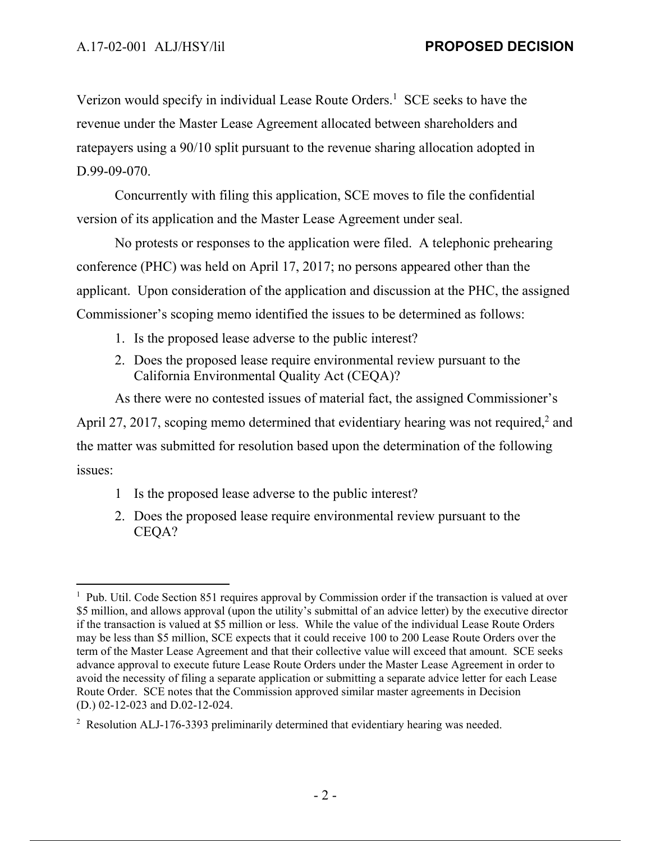$\overline{a}$ 

Verizon would specify in individual Lease Route Orders.<sup>1</sup> SCE seeks to have the revenue under the Master Lease Agreement allocated between shareholders and ratepayers using a 90/10 split pursuant to the revenue sharing allocation adopted in D.99-09-070.

Concurrently with filing this application, SCE moves to file the confidential version of its application and the Master Lease Agreement under seal.

No protests or responses to the application were filed. A telephonic prehearing conference (PHC) was held on April 17, 2017; no persons appeared other than the applicant. Upon consideration of the application and discussion at the PHC, the assigned Commissioner's scoping memo identified the issues to be determined as follows:

- 1. Is the proposed lease adverse to the public interest?
- 2. Does the proposed lease require environmental review pursuant to the California Environmental Quality Act (CEQA)?

As there were no contested issues of material fact, the assigned Commissioner's April 27, 2017, scoping memo determined that evidentiary hearing was not required, $2$  and

the matter was submitted for resolution based upon the determination of the following issues:

- 1 Is the proposed lease adverse to the public interest?
- 2. Does the proposed lease require environmental review pursuant to the CEQA?

<sup>&</sup>lt;sup>1</sup> Pub. Util. Code Section 851 requires approval by Commission order if the transaction is valued at over \$5 million, and allows approval (upon the utility's submittal of an advice letter) by the executive director if the transaction is valued at \$5 million or less. While the value of the individual Lease Route Orders may be less than \$5 million, SCE expects that it could receive 100 to 200 Lease Route Orders over the term of the Master Lease Agreement and that their collective value will exceed that amount. SCE seeks advance approval to execute future Lease Route Orders under the Master Lease Agreement in order to avoid the necessity of filing a separate application or submitting a separate advice letter for each Lease Route Order. SCE notes that the Commission approved similar master agreements in Decision (D.) 02-12-023 and D.02-12-024.

 $2^2$  Resolution ALJ-176-3393 preliminarily determined that evidentiary hearing was needed.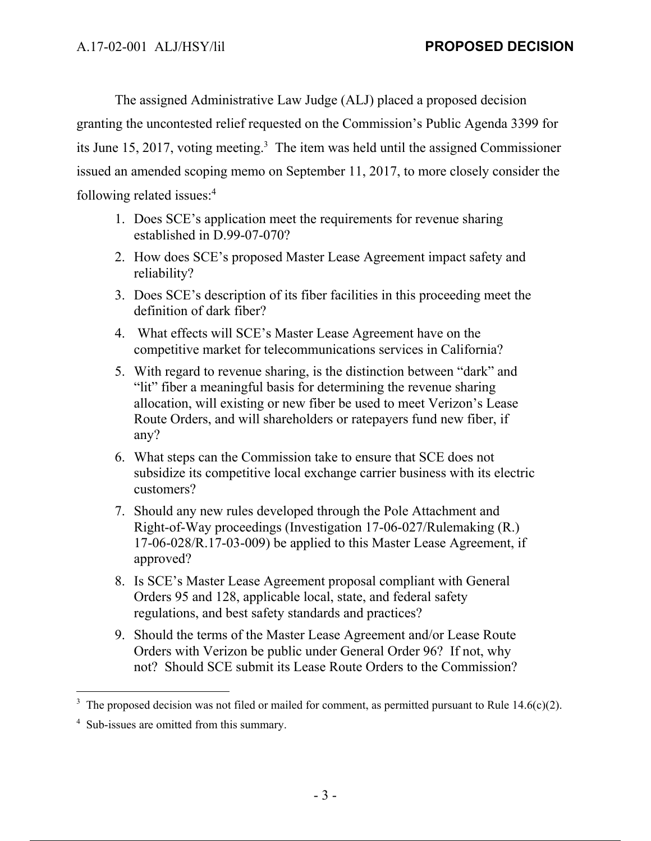The assigned Administrative Law Judge (ALJ) placed a proposed decision granting the uncontested relief requested on the Commission's Public Agenda 3399 for its June 15, 2017, voting meeting.<sup>3</sup> The item was held until the assigned Commissioner issued an amended scoping memo on September 11, 2017, to more closely consider the following related issues:4

- 1. Does SCE's application meet the requirements for revenue sharing established in D.99-07-070?
- 2. How does SCE's proposed Master Lease Agreement impact safety and reliability?
- 3. Does SCE's description of its fiber facilities in this proceeding meet the definition of dark fiber?
- 4. What effects will SCE's Master Lease Agreement have on the competitive market for telecommunications services in California?
- 5. With regard to revenue sharing, is the distinction between "dark" and "lit" fiber a meaningful basis for determining the revenue sharing allocation, will existing or new fiber be used to meet Verizon's Lease Route Orders, and will shareholders or ratepayers fund new fiber, if any?
- 6. What steps can the Commission take to ensure that SCE does not subsidize its competitive local exchange carrier business with its electric customers?
- 7. Should any new rules developed through the Pole Attachment and Right-of-Way proceedings (Investigation 17-06-027/Rulemaking (R.) 17-06-028/R.17-03-009) be applied to this Master Lease Agreement, if approved?
- 8. Is SCE's Master Lease Agreement proposal compliant with General Orders 95 and 128, applicable local, state, and federal safety regulations, and best safety standards and practices?
- 9. Should the terms of the Master Lease Agreement and/or Lease Route Orders with Verizon be public under General Order 96? If not, why not? Should SCE submit its Lease Route Orders to the Commission?

 $\overline{a}$ 

<sup>3</sup> The proposed decision was not filed or mailed for comment, as permitted pursuant to Rule 14.6(c)(2).

<sup>&</sup>lt;sup>4</sup> Sub-issues are omitted from this summary.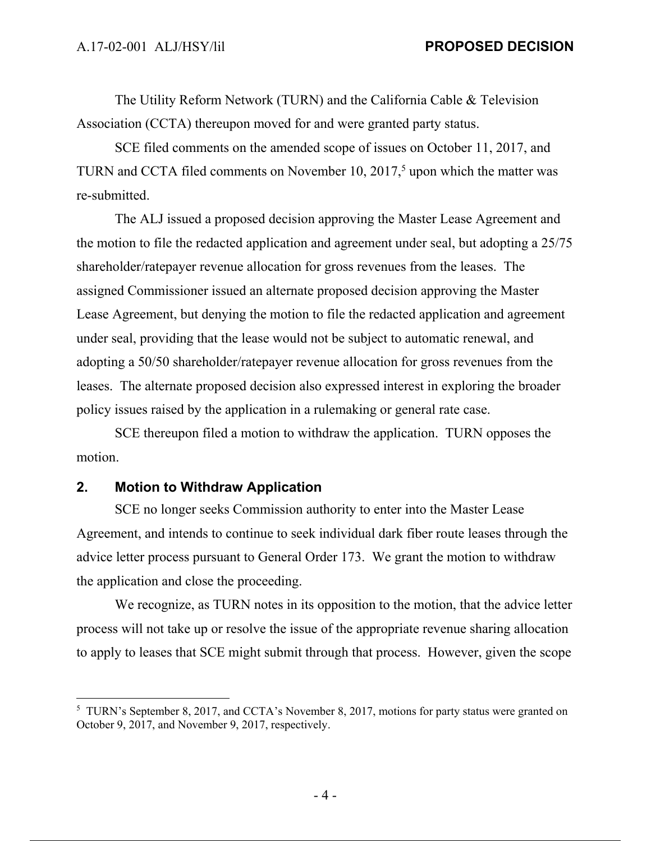The Utility Reform Network (TURN) and the California Cable & Television Association (CCTA) thereupon moved for and were granted party status.

SCE filed comments on the amended scope of issues on October 11, 2017, and TURN and CCTA filed comments on November  $10$ ,  $2017<sup>5</sup>$  upon which the matter was re-submitted.

The ALJ issued a proposed decision approving the Master Lease Agreement and the motion to file the redacted application and agreement under seal, but adopting a 25/75 shareholder/ratepayer revenue allocation for gross revenues from the leases. The assigned Commissioner issued an alternate proposed decision approving the Master Lease Agreement, but denying the motion to file the redacted application and agreement under seal, providing that the lease would not be subject to automatic renewal, and adopting a 50/50 shareholder/ratepayer revenue allocation for gross revenues from the leases. The alternate proposed decision also expressed interest in exploring the broader policy issues raised by the application in a rulemaking or general rate case.

SCE thereupon filed a motion to withdraw the application. TURN opposes the motion.

# **2. Motion to Withdraw Application**

SCE no longer seeks Commission authority to enter into the Master Lease Agreement, and intends to continue to seek individual dark fiber route leases through the advice letter process pursuant to General Order 173. We grant the motion to withdraw the application and close the proceeding.

We recognize, as TURN notes in its opposition to the motion, that the advice letter process will not take up or resolve the issue of the appropriate revenue sharing allocation to apply to leases that SCE might submit through that process. However, given the scope

<sup>&</sup>lt;sup>5</sup> TURN's September 8, 2017, and CCTA's November 8, 2017, motions for party status were granted on October 9, 2017, and November 9, 2017, respectively.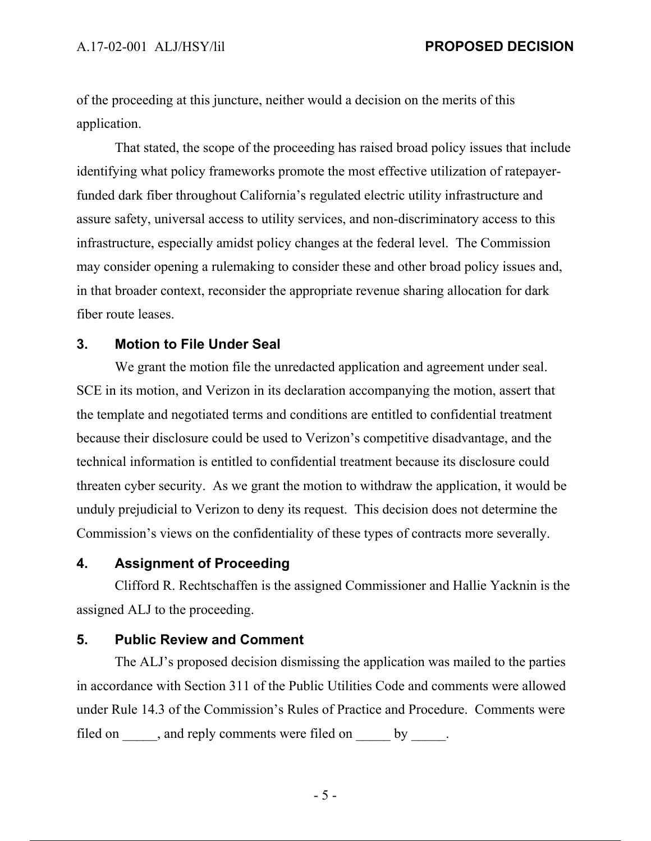of the proceeding at this juncture, neither would a decision on the merits of this application.

That stated, the scope of the proceeding has raised broad policy issues that include identifying what policy frameworks promote the most effective utilization of ratepayerfunded dark fiber throughout California's regulated electric utility infrastructure and assure safety, universal access to utility services, and non-discriminatory access to this infrastructure, especially amidst policy changes at the federal level. The Commission may consider opening a rulemaking to consider these and other broad policy issues and, in that broader context, reconsider the appropriate revenue sharing allocation for dark fiber route leases.

#### **3. Motion to File Under Seal**

We grant the motion file the unredacted application and agreement under seal. SCE in its motion, and Verizon in its declaration accompanying the motion, assert that the template and negotiated terms and conditions are entitled to confidential treatment because their disclosure could be used to Verizon's competitive disadvantage, and the technical information is entitled to confidential treatment because its disclosure could threaten cyber security. As we grant the motion to withdraw the application, it would be unduly prejudicial to Verizon to deny its request. This decision does not determine the Commission's views on the confidentiality of these types of contracts more severally.

# **4. Assignment of Proceeding**

Clifford R. Rechtschaffen is the assigned Commissioner and Hallie Yacknin is the assigned ALJ to the proceeding.

# **5. Public Review and Comment**

The ALJ's proposed decision dismissing the application was mailed to the parties in accordance with Section 311 of the Public Utilities Code and comments were allowed under Rule 14.3 of the Commission's Rules of Practice and Procedure. Comments were filed on \_\_\_\_\_, and reply comments were filed on \_\_\_\_\_ by \_\_\_\_\_.